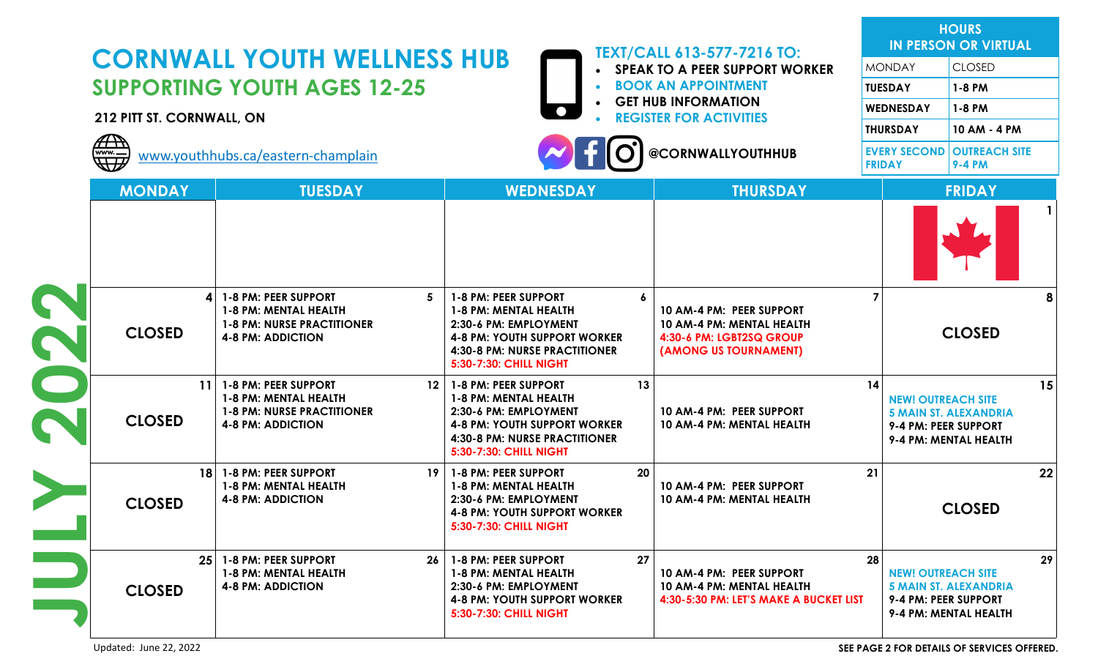|                            | <b>TEXT/CALL 613-577-7216 TO:</b><br><b>CORNWALL YOUTH WELLNESS HUB</b>                                                    |                                                                                                                                                                                             |                                                                                            |                                                                                                            |                                                                                                                  | <b>HOURS</b><br><b>IN PERSON OR VIRTUAL</b>                 |  |
|----------------------------|----------------------------------------------------------------------------------------------------------------------------|---------------------------------------------------------------------------------------------------------------------------------------------------------------------------------------------|--------------------------------------------------------------------------------------------|------------------------------------------------------------------------------------------------------------|------------------------------------------------------------------------------------------------------------------|-------------------------------------------------------------|--|
|                            |                                                                                                                            |                                                                                                                                                                                             |                                                                                            | <b>SPEAK TO A PEER SUPPORT WORKER</b>                                                                      | <b>MONDAY</b>                                                                                                    | <b>CLOSED</b>                                               |  |
|                            | <b>SUPPORTING YOUTH AGES 12-25</b>                                                                                         |                                                                                                                                                                                             | <b>BOOK AN APPOINTMENT</b><br><b>GET HUB INFORMATION</b><br><b>REGISTER FOR ACTIVITIES</b> |                                                                                                            | <b>TUESDAY</b>                                                                                                   | 1-8 PM                                                      |  |
| 212 PITT ST. CORNWALL, ON  |                                                                                                                            |                                                                                                                                                                                             |                                                                                            |                                                                                                            | WEDNESDAY                                                                                                        | 1-8 PM                                                      |  |
|                            |                                                                                                                            |                                                                                                                                                                                             |                                                                                            |                                                                                                            | <b>THURSDAY</b>                                                                                                  | 10 AM - 4 PM                                                |  |
| $\overline{A\cdot P}$<br>W | www.youthhubs.ca/eastern-champlain                                                                                         |                                                                                                                                                                                             |                                                                                            | @CORNWALLYOUTHHUB                                                                                          | <b>FRIDAY</b>                                                                                                    | <b>EVERY SECOND OUTREACH SITE</b><br><b>9-4 PM</b>          |  |
| <b>MONDAY</b>              | <b>TUESDAY</b>                                                                                                             | <b>WEDNESDAY</b>                                                                                                                                                                            |                                                                                            | <b>THURSDAY</b>                                                                                            |                                                                                                                  | <b>FRIDAY</b>                                               |  |
|                            |                                                                                                                            |                                                                                                                                                                                             |                                                                                            |                                                                                                            |                                                                                                                  |                                                             |  |
| <b>CLOSED</b>              | <b>1-8 PM: PEER SUPPORT</b><br>4<br>1-8 PM: MENTAL HEALTH<br><b>1-8 PM: NURSE PRACTITIONER</b><br><b>4-8 PM: ADDICTION</b> | -5<br>1-8 PM: PEER SUPPORT<br>1-8 PM: MENTAL HEALTH<br>2:30-6 PM: EMPLOYMENT<br><b>4-8 PM: YOUTH SUPPORT WORKER</b><br>4:30-8 PM: NURSE PRACTITIONER<br>5:30-7:30: CHILL NIGHT              | 6                                                                                          | 10 AM-4 PM: PEER SUPPORT<br>10 AM-4 PM: MENTAL HEALTH<br>4:30-6 PM: LGBT2SQ GROUP<br>(AMONG US TOURNAMENT) |                                                                                                                  | <b>CLOSED</b>                                               |  |
| 11<br><b>CLOSED</b>        | 1-8 PM: PEER SUPPORT<br>1-8 PM: MENTAL HEALTH<br><b>1-8 PM: NURSE PRACTITIONER</b><br><b>4-8 PM: ADDICTION</b>             | 12 <sup>1</sup><br>1-8 PM: PEER SUPPORT<br>1-8 PM: MENTAL HEALTH<br>2:30-6 PM: EMPLOYMENT<br><b>4-8 PM: YOUTH SUPPORT WORKER</b><br>4:30-8 PM: NURSE PRACTITIONER<br>5:30-7:30: CHILL NIGHT | 13                                                                                         | 10 AM-4 PM: PEER SUPPORT<br>10 AM-4 PM: MENTAL HEALTH                                                      | 14<br><b>NEW! OUTREACH SITE</b><br><b>5 MAIN ST. ALEXANDRIA</b><br>9-4 PM: PEER SUPPORT<br>9-4 PM: MENTAL HEALTH |                                                             |  |
| 18<br><b>CLOSED</b>        | 1-8 PM: PEER SUPPORT<br>1-8 PM: MENTAL HEALTH<br><b>4-8 PM: ADDICTION</b>                                                  | 19 <sup>1</sup><br>1-8 PM: PEER SUPPORT<br>1-8 PM: MENTAL HEALTH<br>2:30-6 PM: EMPLOYMENT<br>4-8 PM: YOUTH SUPPORT WORKER<br><b>5:30-7:30: CHILL NIGHT</b>                                  | 20                                                                                         | 21<br>10 AM-4 PM: PEER SUPPORT<br>10 AM-4 PM: MENTAL HEALTH<br><b>CLOSED</b>                               |                                                                                                                  | 22                                                          |  |
| <b>CLOSED</b>              | 1-8 PM: PEER SUPPORT<br>25 <sub>1</sub><br>1-8 PM: MENTAL HEALTH<br><b>4-8 PM: ADDICTION</b>                               | 26   1-8 PM: PEER SUPPORT<br>1-8 PM: MENTAL HEALTH<br>2:30-6 PM: EMPLOYMENT<br><b>4-8 PM: YOUTH SUPPORT WORKER</b><br>5:30-7:30: CHILL NIGHT                                                | 27                                                                                         | 10 AM-4 PM: PEER SUPPORT<br>10 AM-4 PM: MENTAL HEALTH<br>4:30-5:30 PM: LET'S MAKE A BUCKET LIST            | 28<br><b>NEW! OUTREACH SITE</b><br>9-4 PM: PEER SUPPORT                                                          | 29<br><b>5 MAIN ST. ALEXANDRIA</b><br>9-4 PM: MENTAL HEALTH |  |

Updated: June 22, 2022 **SEE PAGE 2 FOR DETAILS OF SERVICES OFFERED.**